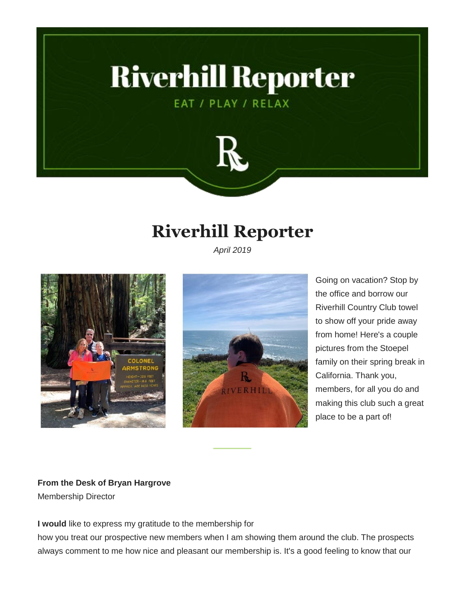# **Riverhill Reporter**

EAT / PLAY / RELAX



# **Riverhill Reporter**

*April 2019*





Going on vacation? Stop by the office and borrow our Riverhill Country Club towel to show off your pride away from home! Here's a couple pictures from the Stoepel family on their spring break in California. Thank you, members, for all you do and making this club such a great place to be a part of!

# **From the Desk of Bryan Hargrove**

Membership Director

**I would** like to express my gratitude to the membership for

how you treat our prospective new members when I am showing them around the club. The prospects always comment to me how nice and pleasant our membership is. It's a good feeling to know that our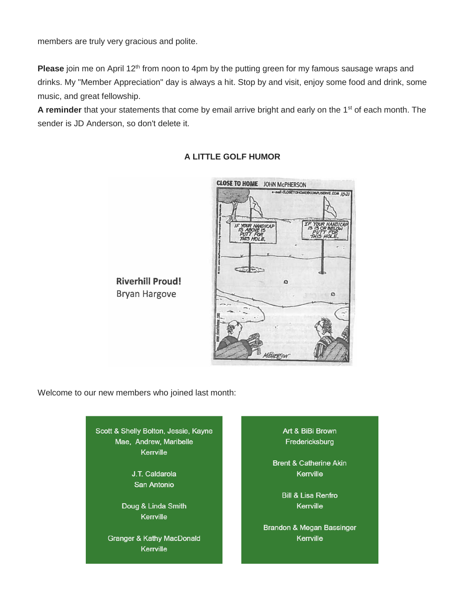members are truly very gracious and polite.

**Please** join me on April 12<sup>th</sup> from noon to 4pm by the putting green for my famous sausage wraps and drinks. My "Member Appreciation" day is always a hit. Stop by and visit, enjoy some food and drink, some music, and great fellowship.

A reminder that your statements that come by email arrive bright and early on the 1<sup>st</sup> of each month. The sender is JD Anderson, so don't delete it.



### **A LITTLE GOLF HUMOR**

Bryan Hargove

Welcome to our new members who joined last month:



Art & BiBi Brown Fredericksburg

**Brent & Catherine Akin** Kerrville

> **Bill & Lisa Renfro** Kerrville

Brandon & Megan Bassinger Kerrville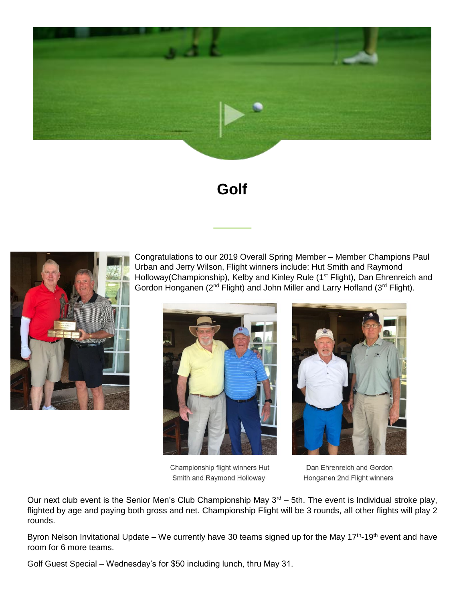

# **Golf**



Congratulations to our 2019 Overall Spring Member – Member Champions Paul Urban and Jerry Wilson, Flight winners include: Hut Smith and Raymond Holloway(Championship), Kelby and Kinley Rule (1<sup>st</sup> Flight), Dan Ehrenreich and Gordon Honganen (2<sup>nd</sup> Flight) and John Miller and Larry Hofland (3<sup>rd</sup> Flight).







Dan Ehrenreich and Gordon Honganen 2nd Flight winners

Our next club event is the Senior Men's Club Championship May  $3^{rd}$  – 5th. The event is Individual stroke play, flighted by age and paying both gross and net. Championship Flight will be 3 rounds, all other flights will play 2 rounds.

Byron Nelson Invitational Update – We currently have 30 teams signed up for the May 17<sup>th</sup>-19<sup>th</sup> event and have room for 6 more teams.

Golf Guest Special – Wednesday's for \$50 including lunch, thru May 31.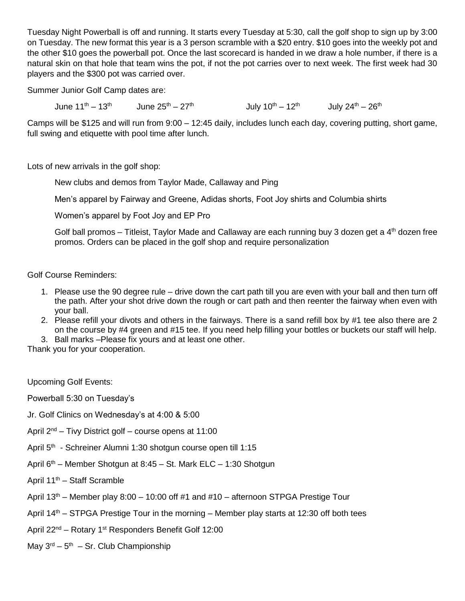Tuesday Night Powerball is off and running. It starts every Tuesday at 5:30, call the golf shop to sign up by 3:00 on Tuesday. The new format this year is a 3 person scramble with a \$20 entry. \$10 goes into the weekly pot and the other \$10 goes the powerball pot. Once the last scorecard is handed in we draw a hole number, if there is a natural skin on that hole that team wins the pot, if not the pot carries over to next week. The first week had 30 players and the \$300 pot was carried over.

Summer Junior Golf Camp dates are:

June 11<sup>th</sup> – 13<sup>th</sup> June 25<sup>th</sup> July 10<sup>th</sup> – 12<sup>th</sup> July 24<sup>th</sup> – 26<sup>th</sup>

Camps will be \$125 and will run from 9:00 – 12:45 daily, includes lunch each day, covering putting, short game, full swing and etiquette with pool time after lunch.

Lots of new arrivals in the golf shop:

New clubs and demos from Taylor Made, Callaway and Ping

Men's apparel by Fairway and Greene, Adidas shorts, Foot Joy shirts and Columbia shirts

Women's apparel by Foot Joy and EP Pro

Golf ball promos – Titleist, Taylor Made and Callaway are each running buy 3 dozen get a 4<sup>th</sup> dozen free promos. Orders can be placed in the golf shop and require personalization

Golf Course Reminders:

- 1. Please use the 90 degree rule drive down the cart path till you are even with your ball and then turn off the path. After your shot drive down the rough or cart path and then reenter the fairway when even with your ball.
- 2. Please refill your divots and others in the fairways. There is a sand refill box by #1 tee also there are 2 on the course by #4 green and #15 tee. If you need help filling your bottles or buckets our staff will help.
- 3. Ball marks –Please fix yours and at least one other.

Thank you for your cooperation.

| <b>Upcoming Golf Events:</b> |  |
|------------------------------|--|
|                              |  |

Powerball 5:30 on Tuesday's

- Jr. Golf Clinics on Wednesday's at 4:00 & 5:00
- April  $2^{nd}$  Tivy District golf course opens at 11:00
- April 5<sup>th</sup> Schreiner Alumni 1:30 shotgun course open till 1:15
- April  $6<sup>th</sup>$  Member Shotgun at 8:45 St. Mark ELC 1:30 Shotgun
- April 11th Staff Scramble
- April  $13<sup>th</sup>$  Member play 8:00 10:00 off #1 and #10 afternoon STPGA Prestige Tour
- April  $14<sup>th</sup>$  STPGA Prestige Tour in the morning Member play starts at 12:30 off both tees
- April 22<sup>nd</sup> Rotary 1<sup>st</sup> Responders Benefit Golf 12:00
- May  $3^{\text{rd}} 5^{\text{th}} Sr$ . Club Championship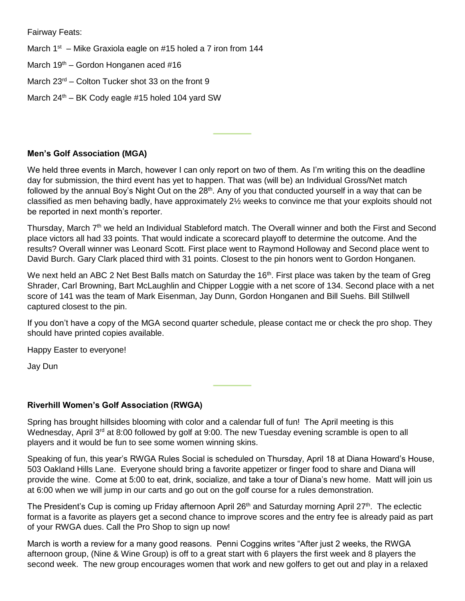Fairway Feats:

March  $1<sup>st</sup>$  – Mike Graxiola eagle on #15 holed a 7 iron from 144

- March  $19<sup>th</sup>$  Gordon Honganen aced #16
- March  $23<sup>rd</sup>$  Colton Tucker shot 33 on the front 9
- March  $24^{th}$  BK Cody eagle #15 holed 104 yard SW

### **Men's Golf Association (MGA)**

We held three events in March, however I can only report on two of them. As I'm writing this on the deadline day for submission, the third event has yet to happen. That was (will be) an Individual Gross/Net match followed by the annual Boy's Night Out on the 28<sup>th</sup>. Any of you that conducted yourself in a way that can be classified as men behaving badly, have approximately 2½ weeks to convince me that your exploits should not be reported in next month's reporter.

Thursday, March 7<sup>th</sup> we held an Individual Stableford match. The Overall winner and both the First and Second place victors all had 33 points. That would indicate a scorecard playoff to determine the outcome. And the results? Overall winner was Leonard Scott. First place went to Raymond Holloway and Second place went to David Burch. Gary Clark placed third with 31 points. Closest to the pin honors went to Gordon Honganen.

We next held an ABC 2 Net Best Balls match on Saturday the 16<sup>th</sup>. First place was taken by the team of Greg Shrader, Carl Browning, Bart McLaughlin and Chipper Loggie with a net score of 134. Second place with a net score of 141 was the team of Mark Eisenman, Jay Dunn, Gordon Honganen and Bill Suehs. Bill Stillwell captured closest to the pin.

If you don't have a copy of the MGA second quarter schedule, please contact me or check the pro shop. They should have printed copies available.

Happy Easter to everyone!

Jay Dun

### **Riverhill Women's Golf Association (RWGA)**

Spring has brought hillsides blooming with color and a calendar full of fun! The April meeting is this Wednesday, April 3<sup>rd</sup> at 8:00 followed by golf at 9:00. The new Tuesday evening scramble is open to all players and it would be fun to see some women winning skins.

Speaking of fun, this year's RWGA Rules Social is scheduled on Thursday, April 18 at Diana Howard's House, 503 Oakland Hills Lane. Everyone should bring a favorite appetizer or finger food to share and Diana will provide the wine. Come at 5:00 to eat, drink, socialize, and take a tour of Diana's new home. Matt will join us at 6:00 when we will jump in our carts and go out on the golf course for a rules demonstration.

The President's Cup is coming up Friday afternoon April 26<sup>th</sup> and Saturday morning April 27<sup>th</sup>. The eclectic format is a favorite as players get a second chance to improve scores and the entry fee is already paid as part of your RWGA dues. Call the Pro Shop to sign up now!

March is worth a review for a many good reasons. Penni Coggins writes "After just 2 weeks, the RWGA afternoon group, (Nine & Wine Group) is off to a great start with 6 players the first week and 8 players the second week. The new group encourages women that work and new golfers to get out and play in a relaxed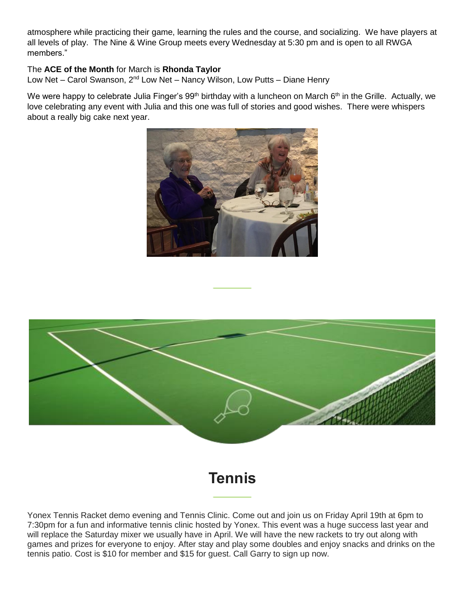atmosphere while practicing their game, learning the rules and the course, and socializing. We have players at all levels of play. The Nine & Wine Group meets every Wednesday at 5:30 pm and is open to all RWGA members."

### The **ACE of the Month** for March is **Rhonda Taylor**

Low Net – Carol Swanson,  $2^{nd}$  Low Net – Nancy Wilson, Low Putts – Diane Henry

We were happy to celebrate Julia Finger's 99<sup>th</sup> birthday with a luncheon on March 6<sup>th</sup> in the Grille. Actually, we love celebrating any event with Julia and this one was full of stories and good wishes. There were whispers about a really big cake next year.





# **Tennis**

Yonex Tennis Racket demo evening and Tennis Clinic. Come out and join us on Friday April 19th at 6pm to 7:30pm for a fun and informative tennis clinic hosted by Yonex. This event was a huge success last year and will replace the Saturday mixer we usually have in April. We will have the new rackets to try out along with games and prizes for everyone to enjoy. After stay and play some doubles and enjoy snacks and drinks on the tennis patio. Cost is \$10 for member and \$15 for guest. Call Garry to sign up now.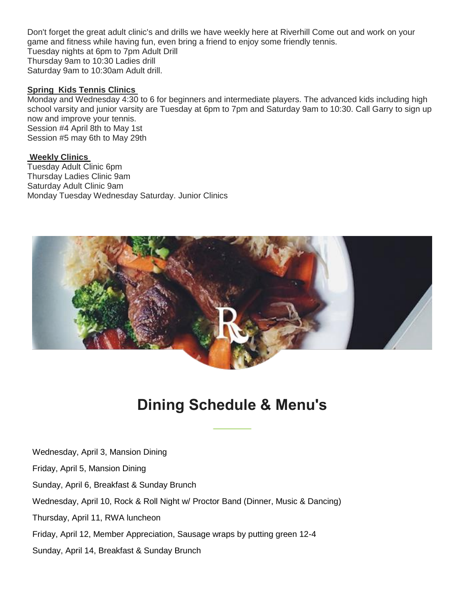Don't forget the great adult clinic's and drills we have weekly here at Riverhill Come out and work on your game and fitness while having fun, even bring a friend to enjoy some friendly tennis. Tuesday nights at 6pm to 7pm Adult Drill Thursday 9am to 10:30 Ladies drill Saturday 9am to 10:30am Adult drill.

### **Spring Kids Tennis Clinics**

Monday and Wednesday 4:30 to 6 for beginners and intermediate players. The advanced kids including high school varsity and junior varsity are Tuesday at 6pm to 7pm and Saturday 9am to 10:30. Call Garry to sign up now and improve your tennis. Session #4 April 8th to May 1st Session #5 may 6th to May 29th

### **Weekly Clinics**

Tuesday Adult Clinic 6pm Thursday Ladies Clinic 9am Saturday Adult Clinic 9am Monday Tuesday Wednesday Saturday. Junior Clinics



# **Dining Schedule & Menu's**

Wednesday, April 3, Mansion Dining Friday, April 5, Mansion Dining Sunday, April 6, Breakfast & Sunday Brunch Wednesday, April 10, Rock & Roll Night w/ Proctor Band (Dinner, Music & Dancing) Thursday, April 11, RWA luncheon Friday, April 12, Member Appreciation, Sausage wraps by putting green 12-4 Sunday, April 14, Breakfast & Sunday Brunch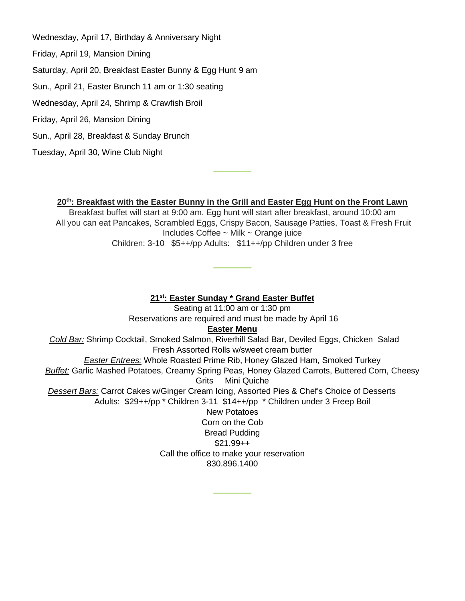Wednesday, April 17, Birthday & Anniversary Night

Friday, April 19, Mansion Dining

Saturday, April 20, Breakfast Easter Bunny & Egg Hunt 9 am

Sun., April 21, Easter Brunch 11 am or 1:30 seating

Wednesday, April 24, Shrimp & Crawfish Broil

Friday, April 26, Mansion Dining

Sun., April 28, Breakfast & Sunday Brunch

Tuesday, April 30, Wine Club Night

### **20th: Breakfast with the Easter Bunny in the Grill and Easter Egg Hunt on the Front Lawn**

Breakfast buffet will start at 9:00 am. Egg hunt will start after breakfast, around 10:00 am All you can eat Pancakes, Scrambled Eggs, Crispy Bacon, Sausage Patties, Toast & Fresh Fruit Includes Coffee ~ Milk ~ Orange juice Children: 3-10 \$5++/pp Adults: \$11++/pp Children under 3 free

### **21st: Easter Sunday \* Grand Easter Buffet**

Seating at 11:00 am or 1:30 pm Reservations are required and must be made by April 16 **Easter Menu** *Cold Bar:* Shrimp Cocktail, Smoked Salmon, Riverhill Salad Bar, Deviled Eggs, Chicken Salad Fresh Assorted Rolls w/sweet cream butter *Easter Entrees:* Whole Roasted Prime Rib, Honey Glazed Ham, Smoked Turkey *Buffet:* Garlic Mashed Potatoes, Creamy Spring Peas, Honey Glazed Carrots, Buttered Corn, Cheesy Grits Mini Quiche *Dessert Bars:* Carrot Cakes w/Ginger Cream Icing, Assorted Pies & Chef's Choice of Desserts Adults: \$29++/pp \* Children 3-11 \$14++/pp \* Children under 3 Freep Boil New Potatoes Corn on the Cob Bread Pudding \$21.99++ Call the office to make your reservation 830.896.1400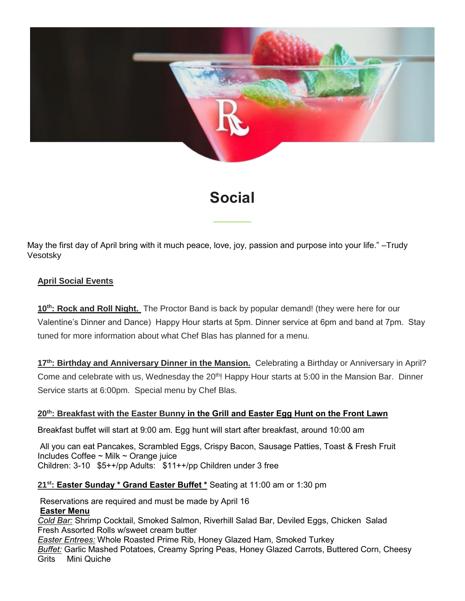

# **Social**

May the first day of April bring with it much peace, love, joy, passion and purpose into your life." –Trudy Vesotsky

### **April Social Events**

10<sup>th</sup>: Rock and Roll Night. The Proctor Band is back by popular demand! (they were here for our Valentine's Dinner and Dance) Happy Hour starts at 5pm. Dinner service at 6pm and band at 7pm. Stay tuned for more information about what Chef Blas has planned for a menu.

17<sup>th</sup>: Birthday and Anniversary Dinner in the Mansion. Celebrating a Birthday or Anniversary in April? Come and celebrate with us, Wednesday the 20<sup>th</sup>! Happy Hour starts at 5:00 in the Mansion Bar. Dinner Service starts at 6:00pm. Special menu by Chef Blas.

### **20th: Breakfast with the Easter Bunny in the Grill and Easter Egg Hunt on the Front Lawn**

Breakfast buffet will start at 9:00 am. Egg hunt will start after breakfast, around 10:00 am

All you can eat Pancakes, Scrambled Eggs, Crispy Bacon, Sausage Patties, Toast & Fresh Fruit Includes Coffee ~ Milk ~ Orange juice Children: 3-10 \$5++/pp Adults: \$11++/pp Children under 3 free

### **21st: Easter Sunday \* Grand Easter Buffet \*** Seating at 11:00 am or 1:30 pm

Reservations are required and must be made by April 16

### **Easter Menu**

*Cold Bar:* Shrimp Cocktail, Smoked Salmon, Riverhill Salad Bar, Deviled Eggs, Chicken Salad Fresh Assorted Rolls w/sweet cream butter

*Easter Entrees:* Whole Roasted Prime Rib, Honey Glazed Ham, Smoked Turkey *Buffet:* Garlic Mashed Potatoes, Creamy Spring Peas, Honey Glazed Carrots, Buttered Corn, Cheesy Grits Mini Quiche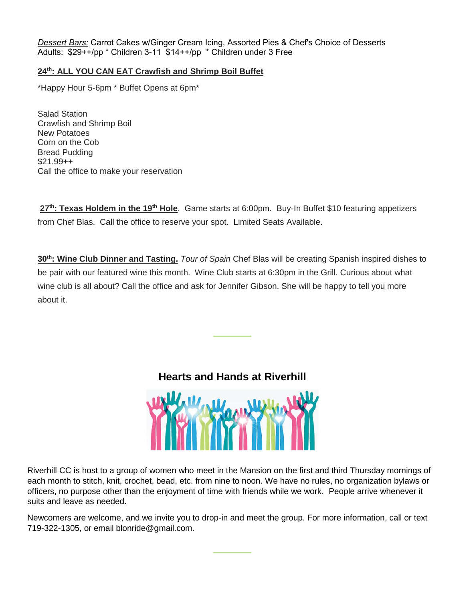*Dessert Bars:* Carrot Cakes w/Ginger Cream Icing, Assorted Pies & Chef's Choice of Desserts Adults: \$29++/pp \* Children 3-11 \$14++/pp \* Children under 3 Free

### **24th: ALL YOU CAN EAT Crawfish and Shrimp Boil Buffet**

\*Happy Hour 5-6pm \* Buffet Opens at 6pm\*

Salad Station Crawfish and Shrimp Boil New Potatoes Corn on the Cob Bread Pudding  $$21.99++$ Call the office to make your reservation

**27th: Texas Holdem in the 19th Hole**. Game starts at 6:00pm. Buy-In Buffet \$10 featuring appetizers from Chef Blas. Call the office to reserve your spot. Limited Seats Available.

**30th: Wine Club Dinner and Tasting.** *Tour of Spain* Chef Blas will be creating Spanish inspired dishes to be pair with our featured wine this month. Wine Club starts at 6:30pm in the Grill. Curious about what wine club is all about? Call the office and ask for Jennifer Gibson. She will be happy to tell you more about it.

### **Hearts and Hands at Riverhill**



Riverhill CC is host to a group of women who meet in the Mansion on the first and third Thursday mornings of each month to stitch, knit, crochet, bead, etc. from nine to noon. We have no rules, no organization bylaws or officers, no purpose other than the enjoyment of time with friends while we work. People arrive whenever it suits and leave as needed.

Newcomers are welcome, and we invite you to drop-in and meet the group. For more information, call or text 719-322-1305, or email blonride@gmail.com.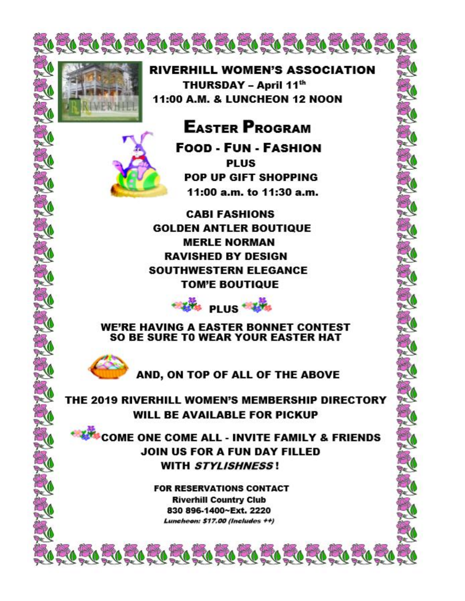

**RIVERHILL WOMEN'S ASSOCIATION** THURSDAY - April 11th 11:00 A.M. & LUNCHEON 12 NOON

# **EASTER PROGRAM**

**FOOD - FUN - FASHION PLUS** POP UP GIFT SHOPPING 11:00 a.m. to 11:30 a.m.

**CABI FASHIONS GOLDEN ANTLER BOUTIQUE MERLE NORMAN RAVISHED BY DESIGN SOUTHWESTERN ELEGANCE TOM'E BOUTIQUE** 



WE'RE HAVING A EASTER BONNET CONTEST **SO BE SURE TO WEAR YOUR EASTER HAT** 



AND, ON TOP OF ALL OF THE ABOVE

THE 2019 RIVERHILL WOMEN'S MEMBERSHIP DIRECTORY **WILL BE AVAILABLE FOR PICKUP** 

COME ONE COME ALL - INVITE FAMILY & FRIENDS **JOIN US FOR A FUN DAY FILLED** WITH STYLISHNESS!

> **FOR RESERVATIONS CONTACT Riverhill Country Club** 830 896-1400~Ext. 2220 Luncheon: \$17.00 (Includes ++)

FOR ORDER TO TO TO TO TO TO TO TO TO TO TO